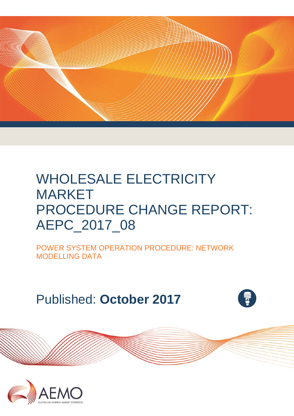

# WHOLESALE ELECTRICITY MARKET PROCEDURE CHANGE REPORT: AEPC\_2017\_08

POWER SYSTEM OPERATION PROCEDURE: NETWORK MODELLING DATA

Published: **October 2017**



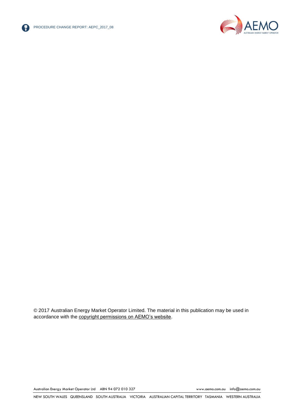



© 2017 Australian Energy Market Operator Limited. The material in this publication may be used in accordance with the [copyright permissions on AEMO's website.](http://aemo.com.au/Privacy_and_Legal_Notices/Copyright_Permissions_Notice)

Australian Energy Market Operator Ltd ABN 94 072 010 327 [www.aemo.com.au](http://www.aemo.com.au/) [info@aemo.com.au](mailto:info@aemo.com.au)

NEW SOUTH WALES QUEENSLAND SOUTH AUSTRALIA VICTORIA AUSTRALIAN CAPITAL TERRITORY TASMANIA WESTERN AUSTRALIA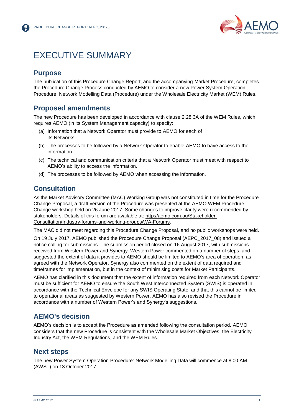

## <span id="page-2-0"></span>EXECUTIVE SUMMARY

## **Purpose**

The publication of this Procedure Change Report, and the accompanying Market Procedure, completes the Procedure Change Process conducted by AEMO to consider a new Power System Operation Procedure: Network Modelling Data (Procedure) under the Wholesale Electricity Market (WEM) Rules.

## **Proposed amendments**

The new Procedure has been developed in accordance with clause 2.28.3A of the WEM Rules, which requires AEMO (in its System Management capacity) to specify:

- (a) Information that a Network Operator must provide to AEMO for each of its Networks.
- (b) The processes to be followed by a Network Operator to enable AEMO to have access to the information.
- (c) The technical and communication criteria that a Network Operator must meet with respect to AEMO's ability to access the information.
- (d) The processes to be followed by AEMO when accessing the information.

## **Consultation**

As the Market Advisory Committee (MAC) Working Group was not constituted in time for the Procedure Change Proposal, a draft version of the Procedure was presented at the AEMO WEM Procedure Change workshop held on 26 June 2017. Some changes to improve clarity were recommended by stakeholders. Details of this forum are available at: [http://aemo.com.au/Stakeholder-](http://aemo.com.au/Stakeholder-Consultation/Industry-forums-and-working-groups/WA-Forums)[Consultation/Industry-forums-and-working-groups/WA-Forums.](http://aemo.com.au/Stakeholder-Consultation/Industry-forums-and-working-groups/WA-Forums)

The MAC did not meet regarding this Procedure Change Proposal, and no public workshops were held.

On 19 July 2017, AEMO published the Procedure Change Proposal (AEPC\_2017\_08) and issued a notice calling for submissions. The submission period closed on 16 August 2017, with submissions received from Western Power and Synergy. Western Power commented on a number of steps, and suggested the extent of data it provides to AEMO should be limited to AEMO's area of operation, as agreed with the Network Operator. Synergy also commented on the extent of data required and timeframes for implementation, but in the context of minimising costs for Market Participants.

AEMO has clarified in this document that the extent of information required from each Network Operator must be sufficient for AEMO to ensure the South West Interconnected System (SWIS) is operated in accordance with the Technical Envelope for any SWIS Operating State, and that this cannot be limited to operational areas as suggested by Western Power. AEMO has also revised the Procedure in accordance with a number of Western Power's and Synergy's suggestions.

## **AEMO's decision**

AEMO's decision is to accept the Procedure as amended following the consultation period. AEMO considers that the new Procedure is consistent with the Wholesale Market Objectives, the Electricity Industry Act, the WEM Regulations, and the WEM Rules.

### **Next steps**

The new Power System Operation Procedure: Network Modelling Data will commence at 8:00 AM (AWST) on 13 October 2017.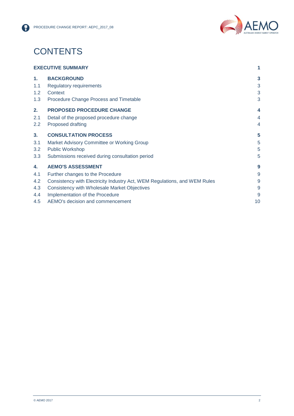

## **CONTENTS**

| <b>EXECUTIVE SUMMARY</b> |                                                                           | 1              |
|--------------------------|---------------------------------------------------------------------------|----------------|
| 1.                       | <b>BACKGROUND</b>                                                         | 3              |
| 1.1                      | <b>Regulatory requirements</b>                                            | 3              |
| 1.2                      | Context                                                                   | 3              |
| 1.3                      | Procedure Change Process and Timetable                                    | 3              |
| 2.                       | <b>PROPOSED PROCEDURE CHANGE</b>                                          | 4              |
| 2.1                      | Detail of the proposed procedure change                                   | $\overline{4}$ |
| 2.2                      | Proposed drafting                                                         | 4              |
| 3 <sub>1</sub>           | <b>CONSULTATION PROCESS</b>                                               | 5              |
| 3.1                      | Market Advisory Committee or Working Group                                | 5              |
| 3.2                      | <b>Public Workshop</b>                                                    | 5              |
| 3.3                      | Submissions received during consultation period                           | 5              |
| 4.                       | <b>AEMO'S ASSESSMENT</b>                                                  | 9              |
| 4.1                      | Further changes to the Procedure                                          | 9              |
| 4.2                      | Consistency with Electricity Industry Act, WEM Regulations, and WEM Rules | 9              |
| 4.3                      | <b>Consistency with Wholesale Market Objectives</b>                       | 9              |
| 4.4                      | Implementation of the Procedure                                           | 9              |
| 4.5                      | AEMO's decision and commencement                                          | 10             |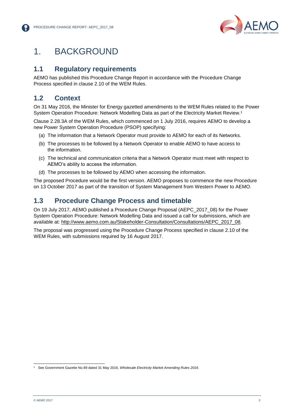

## <span id="page-4-0"></span>1. BACKGROUND

## <span id="page-4-1"></span>**1.1 Regulatory requirements**

AEMO has published this Procedure Change Report in accordance with the Procedure Change Process specified in clause 2.10 of the WEM Rules.

## <span id="page-4-2"></span>**1.2 Context**

On 31 May 2016, the Minister for Energy gazetted amendments to the WEM Rules related to the Power System Operation Procedure: Network Modelling Data as part of the Electricity Market Review. 1

Clause 2.28.3A of the WEM Rules, which commenced on 1 July 2016, requires AEMO to develop a new Power System Operation Procedure (PSOP) specifying:

- (a) The information that a Network Operator must provide to AEMO for each of its Networks.
- (b) The processes to be followed by a Network Operator to enable AEMO to have access to the information.
- (c) The technical and communication criteria that a Network Operator must meet with respect to AEMO's ability to access the information.
- (d) The processes to be followed by AEMO when accessing the information.

The proposed Procedure would be the first version. AEMO proposes to commence the new Procedure on 13 October 2017 as part of the transition of System Management from Western Power to AEMO.

## <span id="page-4-3"></span>**1.3 Procedure Change Process and timetable**

On 19 July 2017, AEMO published a Procedure Change Proposal (AEPC\_2017\_08) for the Power System Operation Procedure: Network Modelling Data and issued a call for submissions, which are available at: [http://www.aemo.com.au/Stakeholder-Consultation/Consultations/AEPC\\_2017\\_08.](http://www.aemo.com.au/Stakeholder-Consultation/Consultations/AEPC_2017_08)

The proposal was progressed using the Procedure Change Process specified in clause 2.10 of the WEM Rules, with submissions required by 16 August 2017.

l <sup>1</sup> See Government Gazette No.89 dated 31 May 2016, *Wholesale Electricity Market Amending Rules 2016*.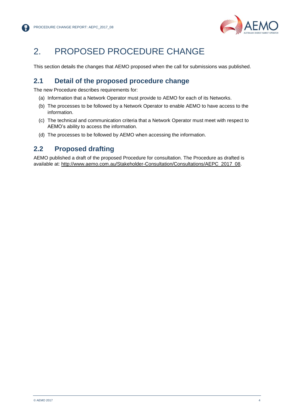

## <span id="page-5-0"></span>2. PROPOSED PROCEDURE CHANGE

This section details the changes that AEMO proposed when the call for submissions was published.

## <span id="page-5-1"></span>**2.1 Detail of the proposed procedure change**

The new Procedure describes requirements for:

- (a) Information that a Network Operator must provide to AEMO for each of its Networks.
- (b) The processes to be followed by a Network Operator to enable AEMO to have access to the information.
- (c) The technical and communication criteria that a Network Operator must meet with respect to AEMO's ability to access the information.
- (d) The processes to be followed by AEMO when accessing the information.

## <span id="page-5-2"></span>**2.2 Proposed drafting**

AEMO published a draft of the proposed Procedure for consultation. The Procedure as drafted is available at: [http://www.aemo.com.au/Stakeholder-Consultation/Consultations/AEPC\\_2017\\_08.](http://www.aemo.com.au/Stakeholder-Consultation/Consultations/AEPC_2017_08)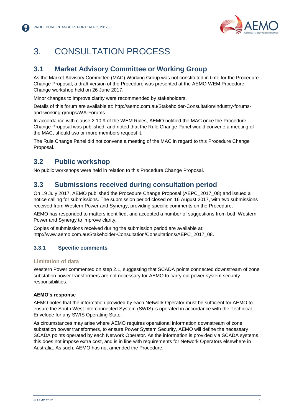

## <span id="page-6-0"></span>3. CONSULTATION PROCESS

## <span id="page-6-1"></span>**3.1 Market Advisory Committee or Working Group**

As the Market Advisory Committee (MAC) Working Group was not constituted in time for the Procedure Change Proposal, a draft version of the Procedure was presented at the AEMO WEM Procedure Change workshop held on 26 June 2017.

Minor changes to improve clarity were recommended by stakeholders.

Details of this forum are available at: [http://aemo.com.au/Stakeholder-Consultation/Industry-forums](http://aemo.com.au/Stakeholder-Consultation/Industry-forums-and-working-groups/WA-Forums)[and-working-groups/WA-Forums.](http://aemo.com.au/Stakeholder-Consultation/Industry-forums-and-working-groups/WA-Forums)

In accordance with clause 2.10.9 of the WEM Rules, AEMO notified the MAC once the Procedure Change Proposal was published, and noted that the Rule Change Panel would convene a meeting of the MAC, should two or more members request it.

The Rule Change Panel did not convene a meeting of the MAC in regard to this Procedure Change Proposal.

## <span id="page-6-2"></span>**3.2 Public workshop**

No public workshops were held in relation to this Procedure Change Proposal.

### <span id="page-6-3"></span>**3.3 Submissions received during consultation period**

On 19 July 2017, AEMO published the Procedure Change Proposal (AEPC\_2017\_08) and issued a notice calling for submissions. The submission period closed on 16 August 2017, with two submissions received from Western Power and Synergy, providing specific comments on the Procedure.

AEMO has responded to matters identified, and accepted a number of suggestions from both Western Power and Synergy to improve clarity.

Copies of submissions received during the submission period are available at: [http://www.aemo.com.au/Stakeholder-Consultation/Consultations/AEPC\\_2017\\_08.](http://www.aemo.com.au/Stakeholder-Consultation/Consultations/AEPC_2017_08)

### **3.3.1 Specific comments**

#### **Limitation of data**

Western Power commented on step 2.1, suggesting that SCADA points connected downstream of zone substation power transformers are not necessary for AEMO to carry out power system security responsibilities.

#### **AEMO's response**

AEMO notes that the information provided by each Network Operator must be sufficient for AEMO to ensure the South West Interconnected System (SWIS) is operated in accordance with the Technical Envelope for any SWIS Operating State.

As circumstances may arise where AEMO requires operational information downstream of zone substation power transformers, to ensure Power System Security, AEMO will define the necessary SCADA points operated by each Network Operator. As the information is provided via SCADA systems, this does not impose extra cost, and is in line with requirements for Network Operators elsewhere in Australia. As such, AEMO has not amended the Procedure.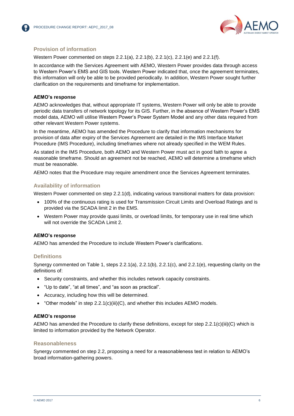

#### **Provision of information**

Western Power commented on steps 2.2.1(a), 2.2.1(b), 2.2.1(c), 2.2.1(e) and 2.2.1(f).

In accordance with the Services Agreement with AEMO, Western Power provides data through access to Western Power's EMS and GIS tools. Western Power indicated that, once the agreement terminates, this information will only be able to be provided periodically. In addition, Western Power sought further clarification on the requirements and timeframe for implementation.

#### **AEMO's response**

AEMO acknowledges that, without appropriate IT systems, Western Power will only be able to provide periodic data transfers of network topology for its GIS. Further, in the absence of Western Power's EMS model data, AEMO will utilise Western Power's Power System Model and any other data required from other relevant Western Power systems.

In the meantime, AEMO has amended the Procedure to clarify that information mechanisms for provision of data after expiry of the Services Agreement are detailed in the IMS Interface Market Procedure (IMS Procedure), including timeframes where not already specified in the WEM Rules.

As stated in the IMS Procedure, both AEMO and Western Power must act in good faith to agree a reasonable timeframe. Should an agreement not be reached, AEMO will determine a timeframe which must be reasonable.

AEMO notes that the Procedure may require amendment once the Services Agreement terminates.

#### **Availability of information**

Western Power commented on step 2.2.1(d), indicating various transitional matters for data provision:

- 100% of the continuous rating is used for Transmission Circuit Limits and Overload Ratings and is provided via the SCADA limit 2 in the EMS.
- Western Power may provide quasi limits, or overload limits, for temporary use in real time which will not override the SCADA Limit 2.

#### **AEMO's response**

AEMO has amended the Procedure to include Western Power's clarifications.

#### **Definitions**

Synergy commented on Table 1, steps  $2.2.1(a)$ ,  $2.2.1(b)$ ,  $2.2.1(c)$ , and  $2.2.1(e)$ , requesting clarity on the definitions of:

- Security constraints, and whether this includes network capacity constraints.
- "Up to date", "at all times", and "as soon as practical".
- Accuracy, including how this will be determined.
- $\bullet$  "Other models" in step 2.2.1(c)(iii)(C), and whether this includes AEMO models.

#### **AEMO's response**

AEMO has amended the Procedure to clarify these definitions, except for step 2.2.1(c)(iii)(C) which is limited to information provided by the Network Operator.

#### **Reasonableness**

Synergy commented on step 2.2, proposing a need for a reasonableness test in relation to AEMO's broad information-gathering powers.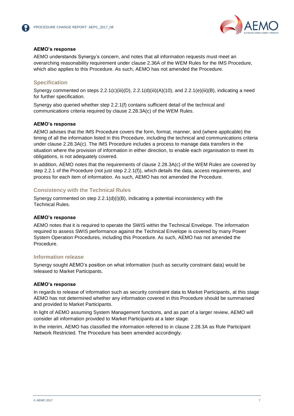



#### **AEMO's response**

AEMO understands Synergy's concern, and notes that all information requests must meet an overarching reasonability requirement under clause 2.36A of the WEM Rules for the IMS Procedure, which also applies to this Procedure. As such, AEMO has not amended the Procedure.

#### **Specification**

Synergy commented on steps  $2.2.1(c)(iii)(D)$ ,  $2.2.1(d)(iii)(A)(10)$ , and  $2.2.1(e)(iii)(B)$ , indicating a need for further specification.

Synergy also queried whether step 2.2.1(f) contains sufficient detail of the technical and communications criteria required by clause 2.28.3A(c) of the WEM Rules.

#### **AEMO's response**

AEMO advises that the IMS Procedure covers the form, format, manner, and (where applicable) the timing of all the information listed in this Procedure, including the technical and communications criteria under clause 2.28.3A(c). The IMS Procedure includes a process to manage data transfers in the situation where the provision of information in either direction, to enable each organisation to meet its obligations, is not adequately covered.

In addition, AEMO notes that the requirements of clause 2.28.3A(c) of the WEM Rules are covered by step 2.2.1 of the Procedure (not just step 2.2.1(f)), which details the data, access requirements, and process for each item of information. As such, AEMO has not amended the Procedure.

#### **Consistency with the Technical Rules**

Synergy commented on step  $2.2.1(d)(i)(B)$ , indicating a potential inconsistency with the Technical Rules.

#### **AEMO's response**

AEMO notes that it is required to operate the SWIS within the Technical Envelope. The information required to assess SWIS performance against the Technical Envelope is covered by many Power System Operation Procedures, including this Procedure. As such, AEMO has not amended the Procedure.

#### **Information release**

Synergy sought AEMO's position on what information (such as security constraint data) would be released to Market Participants.

#### **AEMO's response**

In regards to release of information such as security constraint data to Market Participants, at this stage AEMO has not determined whether any information covered in this Procedure should be summarised and provided to Market Participants.

In light of AEMO assuming System Management functions, and as part of a larger review, AEMO will consider all information provided to Market Participants at a later stage.

In the interim, AEMO has classified the information referred to in clause 2.28.3A as Rule Participant Network Restricted. The Procedure has been amended accordingly.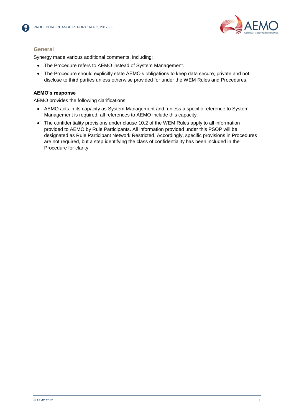



#### **General**

Synergy made various additional comments, including:

- The Procedure refers to AEMO instead of System Management.
- The Procedure should explicitly state AEMO's obligations to keep data secure, private and not disclose to third parties unless otherwise provided for under the WEM Rules and Procedures.

#### **AEMO's response**

AEMO provides the following clarifications:

- AEMO acts in its capacity as System Management and, unless a specific reference to System Management is required, all references to AEMO include this capacity.
- The confidentiality provisions under clause 10.2 of the WEM Rules apply to all information provided to AEMO by Rule Participants. All information provided under this PSOP will be designated as Rule Participant Network Restricted. Accordingly, specific provisions in Procedures are not required, but a step identifying the class of confidentiality has been included in the Procedure for clarity.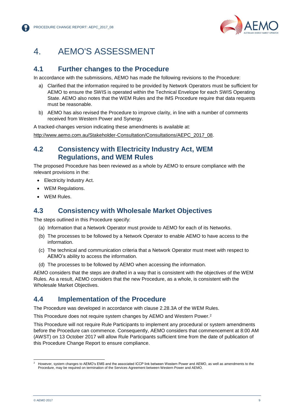

## <span id="page-10-0"></span>4. AEMO'S ASSESSMENT

## <span id="page-10-1"></span>**4.1 Further changes to the Procedure**

In accordance with the submissions, AEMO has made the following revisions to the Procedure:

- a) Clarified that the information required to be provided by Network Operators must be sufficient for AEMO to ensure the SWIS is operated within the Technical Envelope for each SWIS Operating State. AEMO also notes that the WEM Rules and the IMS Procedure require that data requests must be reasonable.
- b) AEMO has also revised the Procedure to improve clarity, in line with a number of comments received from Western Power and Synergy.

A tracked-changes version indicating these amendments is available at:

[http://www.aemo.com.au/Stakeholder-Consultation/Consultations/AEPC\\_2017\\_08.](http://www.aemo.com.au/Stakeholder-Consultation/Consultations/AEPC_2017_08)

### <span id="page-10-2"></span>**4.2 Consistency with Electricity Industry Act, WEM Regulations, and WEM Rules**

The proposed Procedure has been reviewed as a whole by AEMO to ensure compliance with the relevant provisions in the:

- Electricity Industry Act.
- WEM Regulations.
- WEM Rules.

### <span id="page-10-3"></span>**4.3 Consistency with Wholesale Market Objectives**

The steps outlined in this Procedure specify:

- (a) Information that a Network Operator must provide to AEMO for each of its Networks.
- (b) The processes to be followed by a Network Operator to enable AEMO to have access to the information.
- (c) The technical and communication criteria that a Network Operator must meet with respect to AEMO's ability to access the information.
- (d) The processes to be followed by AEMO when accessing the information.

AEMO considers that the steps are drafted in a way that is consistent with the objectives of the WEM Rules. As a result, AEMO considers that the new Procedure, as a whole, is consistent with the Wholesale Market Objectives.

### <span id="page-10-4"></span>**4.4 Implementation of the Procedure**

The Procedure was developed in accordance with clause 2.28.3A of the WEM Rules.

This Procedure does not require system changes by AEMO and Western Power.<sup>2</sup>

This Procedure will not require Rule Participants to implement any procedural or system amendments before the Procedure can commence. Consequently, AEMO considers that commencement at 8:00 AM (AWST) on 13 October 2017 will allow Rule Participants sufficient time from the date of publication of this Procedure Change Report to ensure compliance.

l <sup>2</sup> However, system changes to AEMO's EMS and the associated ICCP link between Western Power and AEMO, as well as amendments to the Procedure, may be required on termination of the Services Agreement between Western Power and AEMO.